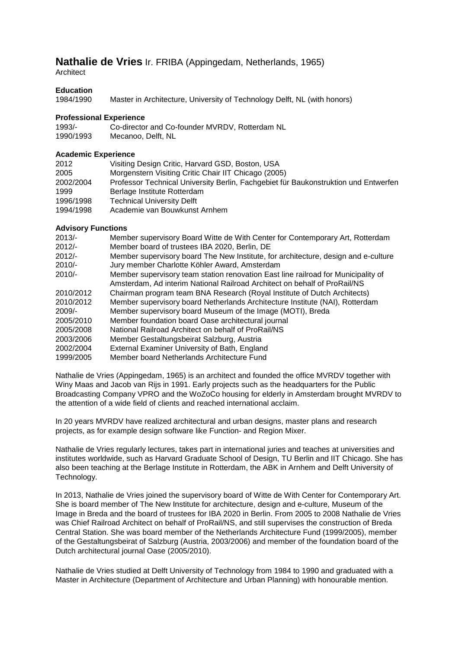# **Nathalie de Vries** Ir. FRIBA (Appingedam, Netherlands, 1965)

**Architect** 

# **Education**

1984/1990 Master in Architecture, University of Technology Delft, NL (with honors)

#### **Professional Experience**

| 1993/-    | Co-director and Co-founder MVRDV, Rotterdam NL |
|-----------|------------------------------------------------|
| 1990/1993 | Mecanoo, Delft, NL                             |

## **Academic Experience**

| 2012      | Visiting Design Critic, Harvard GSD, Boston, USA                                    |
|-----------|-------------------------------------------------------------------------------------|
| 2005      | Morgenstern Visiting Critic Chair IIT Chicago (2005)                                |
| 2002/2004 | Professor Technical University Berlin, Fachgebiet für Baukonstruktion und Entwerfen |
| 1999      | Berlage Institute Rotterdam                                                         |
| 1996/1998 | <b>Technical University Delft</b>                                                   |
| 1994/1998 | Academie van Bouwkunst Arnhem                                                       |

## **Advisory Functions**

| $2013/-$  | Member supervisory Board Witte de With Center for Contemporary Art, Rotterdam      |
|-----------|------------------------------------------------------------------------------------|
| $2012/-$  | Member board of trustees IBA 2020, Berlin, DE                                      |
| $2012/-$  | Member supervisory board The New Institute, for architecture, design and e-culture |
| $2010/-$  | Jury member Charlotte Köhler Award, Amsterdam                                      |
| $2010/-$  | Member supervisory team station renovation East line railroad for Municipality of  |
|           | Amsterdam, Ad interim National Railroad Architect on behalf of ProRail/NS          |
| 2010/2012 | Chairman program team BNA Research (Royal Institute of Dutch Architects)           |
| 2010/2012 | Member supervisory board Netherlands Architecture Institute (NAI), Rotterdam       |
| $2009/-$  | Member supervisory board Museum of the Image (MOTI), Breda                         |
| 2005/2010 | Member foundation board Oase architectural journal                                 |
| 2005/2008 | National Railroad Architect on behalf of ProRail/NS                                |
| 2003/2006 | Member Gestaltungsbeirat Salzburg, Austria                                         |
| 2002/2004 | External Examiner University of Bath, England                                      |
| 1999/2005 | Member board Netherlands Architecture Fund                                         |

Nathalie de Vries (Appingedam, 1965) is an architect and founded the office MVRDV together with Winy Maas and Jacob van Rijs in 1991. Early projects such as the headquarters for the Public Broadcasting Company VPRO and the WoZoCo housing for elderly in Amsterdam brought MVRDV to the attention of a wide field of clients and reached international acclaim.

In 20 years MVRDV have realized architectural and urban designs, master plans and research projects, as for example design software like Function- and Region Mixer.

Nathalie de Vries regularly lectures, takes part in international juries and teaches at universities and institutes worldwide, such as Harvard Graduate School of Design, TU Berlin and IIT Chicago. She has also been teaching at the Berlage Institute in Rotterdam, the ABK in Arnhem and Delft University of Technology.

In 2013, Nathalie de Vries joined the supervisory board of Witte de With Center for Contemporary Art. She is board member of The New Institute for architecture, design and e-culture, Museum of the Image in Breda and the board of trustees for IBA 2020 in Berlin. From 2005 to 2008 Nathalie de Vries was Chief Railroad Architect on behalf of ProRail/NS, and still supervises the construction of Breda Central Station. She was board member of the Netherlands Architecture Fund (1999/2005), member of the Gestaltungsbeirat of Salzburg (Austria, 2003/2006) and member of the foundation board of the Dutch architectural journal Oase (2005/2010).

Nathalie de Vries studied at Delft University of Technology from 1984 to 1990 and graduated with a Master in Architecture (Department of Architecture and Urban Planning) with honourable mention.